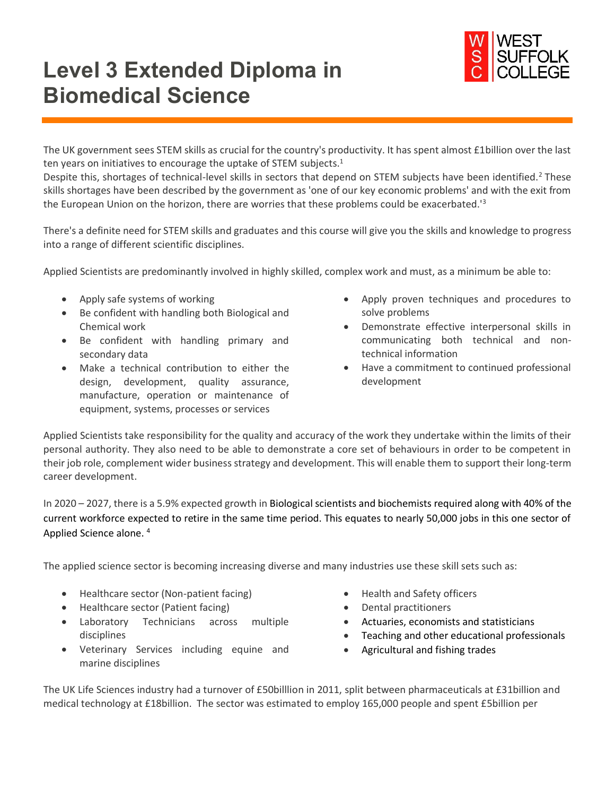## **Level 3 Extended Diploma in Biomedical Science**



The UK government sees STEM skills as crucial for the country's productivity. It has spent almost £1billion over the last ten years on initiatives to encourage the uptake of STEM subjects.<sup>1</sup>

Despite this, shortages of technical-level skills in sectors that depend on STEM subjects have been identified.<sup>2</sup> These skills shortages have been described by the government as 'one of our key economic problems' and with the exit from the European Union on the horizon, there are worries that these problems could be exacerbated.'<sup>3</sup>

There's a definite need for STEM skills and graduates and this course will give you the skills and knowledge to progress into a range of different scientific disciplines.

Applied Scientists are predominantly involved in highly skilled, complex work and must, as a minimum be able to:

- Apply safe systems of working
- Be confident with handling both Biological and Chemical work
- Be confident with handling primary and secondary data
- Make a technical contribution to either the design, development, quality assurance, manufacture, operation or maintenance of equipment, systems, processes or services
- Apply proven techniques and procedures to solve problems
- Demonstrate effective interpersonal skills in communicating both technical and nontechnical information
- Have a commitment to continued professional development

Applied Scientists take responsibility for the quality and accuracy of the work they undertake within the limits of their personal authority. They also need to be able to demonstrate a core set of behaviours in order to be competent in their job role, complement wider business strategy and development. This will enable them to support their long-term career development.

In 2020 – 2027, there is a 5.9% expected growth in Biological scientists and biochemists required along with 40% of the current workforce expected to retire in the same time period. This equates to nearly 50,000 jobs in this one sector of Applied Science alone. <sup>4</sup>

The applied science sector is becoming increasing diverse and many industries use these skill sets such as:

- Healthcare sector (Non-patient facing)
- Healthcare sector (Patient facing)
- Laboratory Technicians across multiple disciplines
- Veterinary Services including equine and marine disciplines
- Health and Safety officers
- Dental practitioners
- Actuaries, economists and statisticians
- Teaching and other educational professionals
- Agricultural and fishing trades

The UK Life Sciences industry had a turnover of £50billlion in 2011, split between pharmaceuticals at £31billion and medical technology at £18billion. The sector was estimated to employ 165,000 people and spent £5billion per